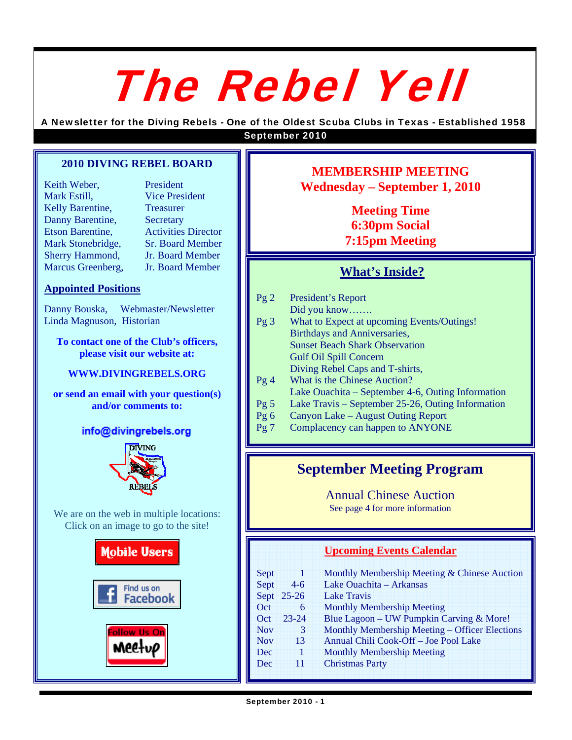# The Rebel Yell

A Newsletter for the Diving Rebels - One of the Oldest Scuba Clubs in Texas - Established 1958 September 2010

#### **2010 DIVING REBEL BOARD**

| Keith Weber,            | President                  |
|-------------------------|----------------------------|
| Mark Estill,            | <b>Vice President</b>      |
| Kelly Barentine,        | <b>Treasurer</b>           |
| Danny Barentine,        | Secretary                  |
| <b>Etson Barentine,</b> | <b>Activities Director</b> |
| Mark Stonebridge,       | <b>Sr. Board Member</b>    |
| Sherry Hammond,         | Jr. Board Member           |
| Marcus Greenberg,       | Jr. Board Member           |

**Appointed Positions**

Danny Bouska, Webmaster/Newsletter Linda Magnuson, Historian

**To contact one of the Club's officers, please visit our website at:** 

#### **WWW.DIVINGREBELS.ORG**

**or send an email with your question(s) and/or comments to:** 

## info@divingrebels.org



We are on the web in multiple locations: Click on an image to go to the site!



# **MEMBERSHIP MEETING Wednesday – September 1, 2010**

**Meeting Time 6:30pm Social 7:15pm Meeting** 

# **What's Inside?**

| Pg2             | President's Report                                |
|-----------------|---------------------------------------------------|
|                 | Did you know                                      |
| $Pg_3$          | What to Expect at upcoming Events/Outings!        |
|                 | Birthdays and Anniversaries,                      |
|                 | <b>Sunset Beach Shark Observation</b>             |
|                 | <b>Gulf Oil Spill Concern</b>                     |
|                 | Diving Rebel Caps and T-shirts,                   |
| Pg4             | What is the Chinese Auction?                      |
|                 | Lake Ouachita – September 4-6, Outing Information |
| Pg <sub>5</sub> | Lake Travis – September 25-26, Outing Information |
| $\mathbf{R}$    | $\alpha$ is $\alpha$ in $\alpha$                  |

- Pg 6 Canyon Lake August Outing Report
- Pg 7 Complacency can happen to ANYONE

# **September Meeting Program**

Annual Chinese Auction

See page 4 for more information

## **Upcoming Events Calendar**

| Sept       | 1         | Monthly Membership Meeting & Chinese Auction   |
|------------|-----------|------------------------------------------------|
| Sept       | $4-6$     | Lake Ouachita - Arkansas                       |
| Sept       | $25 - 26$ | <b>Lake Travis</b>                             |
| Oct        | 6         | <b>Monthly Membership Meeting</b>              |
| Oct        | $23 - 24$ | Blue Lagoon - UW Pumpkin Carving & More!       |
| <b>Nov</b> | 3         | Monthly Membership Meeting – Officer Elections |
| <b>Nov</b> | 13        | Annual Chili Cook-Off - Joe Pool Lake          |
| Dec        | 1         | <b>Monthly Membership Meeting</b>              |
| Dec        | 11        | <b>Christmas Party</b>                         |
|            |           |                                                |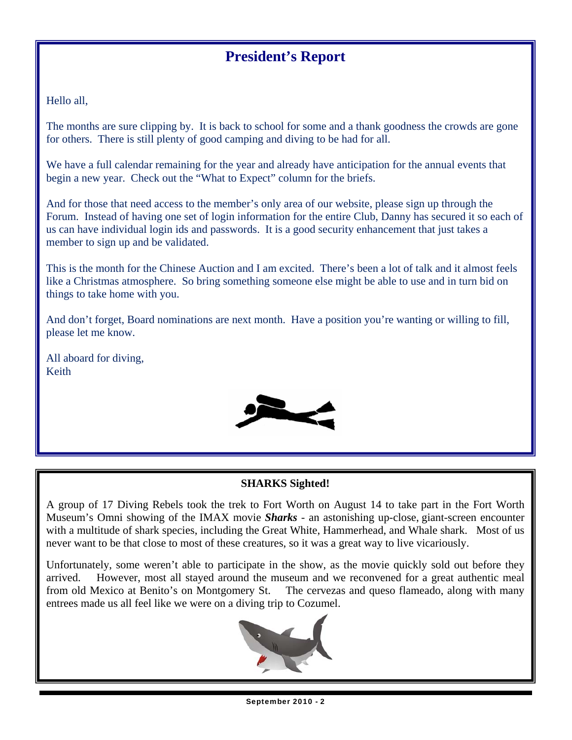# **President's Report**

Hello all,

The months are sure clipping by. It is back to school for some and a thank goodness the crowds are gone for others. There is still plenty of good camping and diving to be had for all.

We have a full calendar remaining for the year and already have anticipation for the annual events that begin a new year. Check out the "What to Expect" column for the briefs.

And for those that need access to the member's only area of our website, please sign up through the Forum. Instead of having one set of login information for the entire Club, Danny has secured it so each of us can have individual login ids and passwords. It is a good security enhancement that just takes a member to sign up and be validated.

This is the month for the Chinese Auction and I am excited. There's been a lot of talk and it almost feels like a Christmas atmosphere. So bring something someone else might be able to use and in turn bid on things to take home with you.

And don't forget, Board nominations are next month. Have a position you're wanting or willing to fill, please let me know.

All aboard for diving, Keith



# **SHARKS Sighted!**

A group of 17 Diving Rebels took the trek to Fort Worth on August 14 to take part in the Fort Worth Museum's Omni showing of the IMAX movie *Sharks* - an astonishing up-close, giant-screen encounter with a multitude of shark species, including the Great White, Hammerhead, and Whale shark. Most of us never want to be that close to most of these creatures, so it was a great way to live vicariously.

Unfortunately, some weren't able to participate in the show, as the movie quickly sold out before they arrived. However, most all stayed around the museum and we reconvened for a great authentic meal from old Mexico at Benito's on Montgomery St. The cervezas and queso flameado, along with many entrees made us all feel like we were on a diving trip to Cozumel.

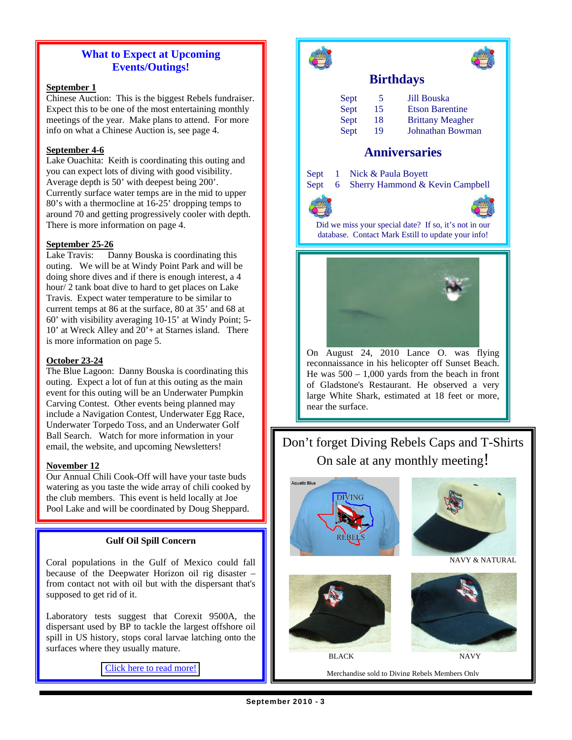# **What to Expect at Upcoming Events/Outings!**

#### **September 1**

Chinese Auction: This is the biggest Rebels fundraiser. Expect this to be one of the most entertaining monthly meetings of the year. Make plans to attend. For more info on what a Chinese Auction is, see page 4.

#### **September 4-6**

Lake Ouachita: Keith is coordinating this outing and you can expect lots of diving with good visibility. Average depth is 50' with deepest being 200'. Currently surface water temps are in the mid to upper 80's with a thermocline at 16-25' dropping temps to around 70 and getting progressively cooler with depth. There is more information on page 4.

#### **September 25-26**

Lake Travis: Danny Bouska is coordinating this outing. We will be at Windy Point Park and will be doing shore dives and if there is enough interest, a 4 hour/ 2 tank boat dive to hard to get places on Lake Travis. Expect water temperature to be similar to current temps at 86 at the surface, 80 at 35' and 68 at 60' with visibility averaging 10-15' at Windy Point; 5- 10' at Wreck Alley and 20'+ at Starnes island. There is more information on page 5.

#### **October 23-24**

The Blue Lagoon: Danny Bouska is coordinating this outing. Expect a lot of fun at this outing as the main event for this outing will be an Underwater Pumpkin Carving Contest. Other events being planned may include a Navigation Contest, Underwater Egg Race, Underwater Torpedo Toss, and an Underwater Golf Ball Search. Watch for more information in your email, the website, and upcoming Newsletters!

#### **November 12**

Our Annual Chili Cook-Off will have your taste buds watering as you taste the wide array of chili cooked by the club members. This event is held locally at Joe Pool Lake and will be coordinated by Doug Sheppard.

#### **Gulf Oil Spill Concern**

Coral populations in the Gulf of Mexico could fall because of the Deepwater Horizon oil rig disaster – from contact not with oil but with the dispersant that's supposed to get rid of it.

Laboratory tests suggest that Corexit 9500A, the dispersant used by BP to tackle the largest offshore oil spill in US history, stops coral larvae latching onto the surfaces where they usually mature.

[Click here to read more!](http://www.newscientist.com/article/dn19260-oil-spill-dispersant-could-damage-coral-populations.html)





## **Birthdays**

| Sept | 5  | <b>Jill Bouska</b>      |
|------|----|-------------------------|
| Sept | 15 | <b>Etson Barentine</b>  |
| Sept | 18 | <b>Brittany Meagher</b> |
| Sept | 19 | Johnathan Bowman        |

## **Anniversaries**

Sept 1 Nick & Paula Boyett

Sept 6 Sherry Hammond & Kevin Campbell



 Did we miss your special date? If so, it's not in our database. Contact Mark Estill to update your info!



On August 24, 2010 Lance O. was flying reconnaissance in his helicopter off Sunset Beach. He was  $500 - 1{,}000$  yards from the beach in front of Gladstone's Restaurant. He observed a very large White Shark, estimated at 18 feet or more, near the surface.

# Don't forget Diving Rebels Caps and T-Shirts On sale at any monthly meeting!





NAVY & NATURAL



Merchandise sold to Diving Rebels Members Only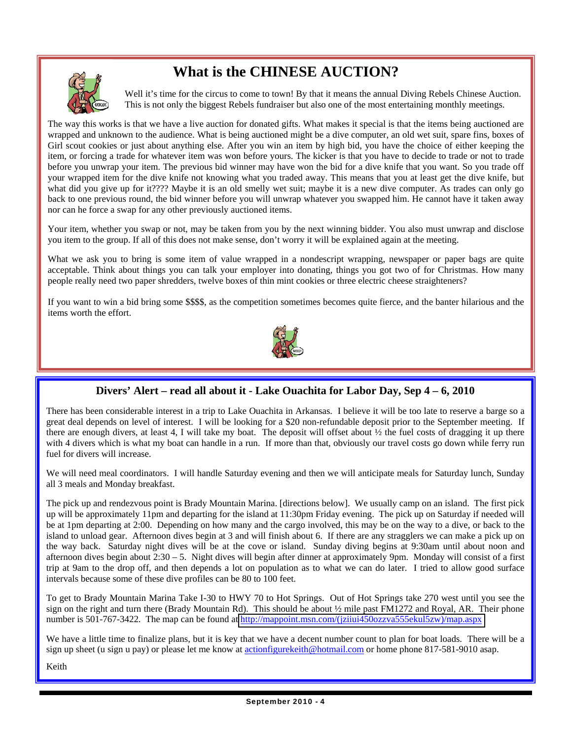# **What is the CHINESE AUCTION?**



Well it's time for the circus to come to town! By that it means the annual Diving Rebels Chinese Auction. This is not only the biggest Rebels fundraiser but also one of the most entertaining monthly meetings.

The way this works is that we have a live auction for donated gifts. What makes it special is that the items being auctioned are wrapped and unknown to the audience. What is being auctioned might be a dive computer, an old wet suit, spare fins, boxes of Girl scout cookies or just about anything else. After you win an item by high bid, you have the choice of either keeping the item, or forcing a trade for whatever item was won before yours. The kicker is that you have to decide to trade or not to trade before you unwrap your item. The previous bid winner may have won the bid for a dive knife that you want. So you trade off your wrapped item for the dive knife not knowing what you traded away. This means that you at least get the dive knife, but what did you give up for it???? Maybe it is an old smelly wet suit; maybe it is a new dive computer. As trades can only go back to one previous round, the bid winner before you will unwrap whatever you swapped him. He cannot have it taken away nor can he force a swap for any other previously auctioned items.

Your item, whether you swap or not, may be taken from you by the next winning bidder. You also must unwrap and disclose you item to the group. If all of this does not make sense, don't worry it will be explained again at the meeting.

What we ask you to bring is some item of value wrapped in a nondescript wrapping, newspaper or paper bags are quite acceptable. Think about things you can talk your employer into donating, things you got two of for Christmas. How many people really need two paper shredders, twelve boxes of thin mint cookies or three electric cheese straighteners?

If you want to win a bid bring some \$\$\$\$, as the competition sometimes becomes quite fierce, and the banter hilarious and the items worth the effort.



# **Divers' Alert – read all about it - Lake Ouachita for Labor Day, Sep 4 – 6, 2010**

There has been considerable interest in a trip to Lake Ouachita in Arkansas. I believe it will be too late to reserve a barge so a great deal depends on level of interest. I will be looking for a \$20 non-refundable deposit prior to the September meeting. If there are enough divers, at least 4, I will take my boat. The deposit will offset about ½ the fuel costs of dragging it up there with 4 divers which is what my boat can handle in a run. If more than that, obviously our travel costs go down while ferry run fuel for divers will increase.

We will need meal coordinators. I will handle Saturday evening and then we will anticipate meals for Saturday lunch, Sunday all 3 meals and Monday breakfast.

The pick up and rendezvous point is Brady Mountain Marina. [directions below]. We usually camp on an island. The first pick up will be approximately 11pm and departing for the island at 11:30pm Friday evening. The pick up on Saturday if needed will be at 1pm departing at 2:00. Depending on how many and the cargo involved, this may be on the way to a dive, or back to the island to unload gear. Afternoon dives begin at 3 and will finish about 6. If there are any stragglers we can make a pick up on the way back. Saturday night dives will be at the cove or island. Sunday diving begins at 9:30am until about noon and afternoon dives begin about  $2:30 - 5$ . Night dives will begin after dinner at approximately 9pm. Monday will consist of a first trip at 9am to the drop off, and then depends a lot on population as to what we can do later. I tried to allow good surface intervals because some of these dive profiles can be 80 to 100 feet.

To get to Brady Mountain Marina Take I-30 to HWY 70 to Hot Springs. Out of Hot Springs take 270 west until you see the sign on the right and turn there (Brady Mountain Rd). This should be about ½ mile past FM1272 and Royal, AR. Their phone number is 501-767-3422. The map can be found at http://mappoint.msn.com/(jzijui450ozzva555ekul5zw)/map.aspx

We have a little time to finalize plans, but it is key that we have a decent number count to plan for boat loads. There will be a sign up sheet (u sign u pay) or please let me know at actionfigurekeith@hotmail.com or home phone 817-581-9010 asap.

Keith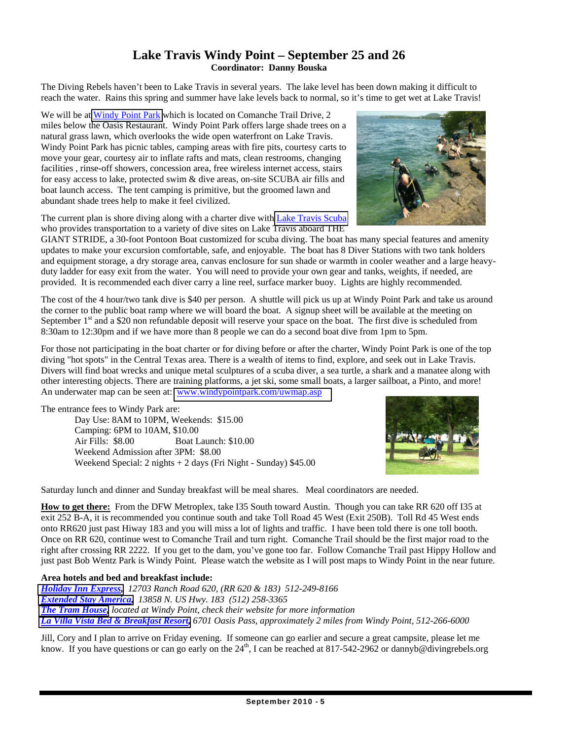# **Lake Travis Windy Point – September 25 and 26 Coordinator: Danny Bouska**

The Diving Rebels haven't been to Lake Travis in several years. The lake level has been down making it difficult to reach the water. Rains this spring and summer have lake levels back to normal, so it's time to get wet at Lake Travis!

We will be at [Windy Point Park](http://www.windypointpark.com/) which is located on Comanche Trail Drive, 2 miles below the Oasis Restaurant. Windy Point Park offers large shade trees on a natural grass lawn, which overlooks the wide open waterfront on Lake Travis. Windy Point Park has picnic tables, camping areas with fire pits, courtesy carts to move your gear, courtesy air to inflate rafts and mats, clean restrooms, changing facilities , rinse-off showers, concession area, free wireless internet access, stairs for easy access to lake, protected swim & dive areas, on-site SCUBA air fills and boat launch access. The tent camping is primitive, but the groomed lawn and abundant shade trees help to make it feel civilized.

The current plan is shore diving along with a charter dive with [Lake Travis Scuba](http://www.laketravisscuba.com/) who provides transportation to a variety of dive sites on Lake Travis aboard THE

GIANT STRIDE, a 30-foot Pontoon Boat customized for scuba diving. The boat has many special features and amenity updates to make your excursion comfortable, safe, and enjoyable. The boat has 8 Diver Stations with two tank holders and equipment storage, a dry storage area, canvas enclosure for sun shade or warmth in cooler weather and a large heavyduty ladder for easy exit from the water. You will need to provide your own gear and tanks, weights, if needed, are provided. It is recommended each diver carry a line reel, surface marker buoy. Lights are highly recommended.

The cost of the 4 hour/two tank dive is \$40 per person. A shuttle will pick us up at Windy Point Park and take us around the corner to the public boat ramp where we will board the boat. A signup sheet will be available at the meeting on September  $1<sup>st</sup>$  and a \$20 non refundable deposit will reserve your space on the boat. The first dive is scheduled from 8:30am to 12:30pm and if we have more than 8 people we can do a second boat dive from 1pm to 5pm.

For those not participating in the boat charter or for diving before or after the charter, Windy Point Park is one of the top diving "hot spots" in the Central Texas area. There is a wealth of items to find, explore, and seek out in Lake Travis. Divers will find boat wrecks and unique metal sculptures of a scuba diver, a sea turtle, a shark and a manatee along with other interesting objects. There are training platforms, a jet ski, some small boats, a larger sailboat, a Pinto, and more! An underwater map can be seen at: [www.windypointpark.com/uwmap.asp](http://www.windypointpark.com/uwmap.asp)

The entrance fees to Windy Park are:

 Day Use: 8AM to 10PM, Weekends: \$15.00 Camping: 6PM to 10AM, \$10.00 Air Fills: \$8.00 Boat Launch: \$10.00 Weekend Admission after 3PM: \$8.00 Weekend Special: 2 nights + 2 days (Fri Night - Sunday) \$45.00

Saturday lunch and dinner and Sunday breakfast will be meal shares. Meal coordinators are needed.

**How to get there:** From the DFW Metroplex, take I35 South toward Austin. Though you can take RR 620 off I35 at exit 252 B-A, it is recommended you continue south and take Toll Road 45 West (Exit 250B). Toll Rd 45 West ends onto RR620 just past Hiway 183 and you will miss a lot of lights and traffic. I have been told there is one toll booth. Once on RR 620, continue west to Comanche Trail and turn right. Comanche Trail should be the first major road to the right after crossing RR 2222. If you get to the dam, you've gone too far. Follow Comanche Trail past Hippy Hollow and just past Bob Wentz Park is Windy Point. Please watch the website as I will post maps to Windy Point in the near future.

#### **Area hotels and bed and breakfast include:**

*[Holiday Inn Express,](http://www.ichotelsgroup.com/h/d/ex/1/en/hotel/austx?_requestid=368273) 12703 Ranch Road 620, (RR 620 & 183) 512-249-8166 [Extended Stay America,](http://www.extendedstayamerica.com/minisite/?hotelID=829) 13858 N. US Hwy. 183 (512) 258-3365 [The Tram House,](http://www.vrbo.com/259036) located at Windy Point, check their website for more information [La Villa Vista Bed & Breakfast Resort,](http://www.lavillavista.com/) 6701 Oasis Pass, approximately 2 miles from Windy Point, 512-266-6000* 

Jill, Cory and I plan to arrive on Friday evening. If someone can go earlier and secure a great campsite, please let me know. If you have questions or can go early on the  $24^{\text{th}}$ , I can be reached at 817-542-2962 or dannyb@divingrebels.org



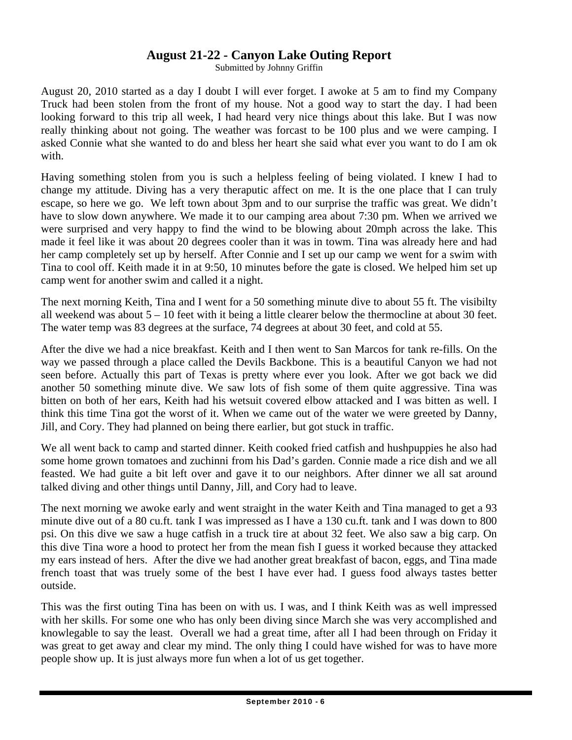# **August 21-22 - Canyon Lake Outing Report**

Submitted by Johnny Griffin

August 20, 2010 started as a day I doubt I will ever forget. I awoke at 5 am to find my Company Truck had been stolen from the front of my house. Not a good way to start the day. I had been looking forward to this trip all week, I had heard very nice things about this lake. But I was now really thinking about not going. The weather was forcast to be 100 plus and we were camping. I asked Connie what she wanted to do and bless her heart she said what ever you want to do I am ok with.

Having something stolen from you is such a helpless feeling of being violated. I knew I had to change my attitude. Diving has a very theraputic affect on me. It is the one place that I can truly escape, so here we go. We left town about 3pm and to our surprise the traffic was great. We didn't have to slow down anywhere. We made it to our camping area about 7:30 pm. When we arrived we were surprised and very happy to find the wind to be blowing about 20mph across the lake. This made it feel like it was about 20 degrees cooler than it was in towm. Tina was already here and had her camp completely set up by herself. After Connie and I set up our camp we went for a swim with Tina to cool off. Keith made it in at 9:50, 10 minutes before the gate is closed. We helped him set up camp went for another swim and called it a night.

The next morning Keith, Tina and I went for a 50 something minute dive to about 55 ft. The visibilty all weekend was about 5 – 10 feet with it being a little clearer below the thermocline at about 30 feet. The water temp was 83 degrees at the surface, 74 degrees at about 30 feet, and cold at 55.

After the dive we had a nice breakfast. Keith and I then went to San Marcos for tank re-fills. On the way we passed through a place called the Devils Backbone. This is a beautiful Canyon we had not seen before. Actually this part of Texas is pretty where ever you look. After we got back we did another 50 something minute dive. We saw lots of fish some of them quite aggressive. Tina was bitten on both of her ears, Keith had his wetsuit covered elbow attacked and I was bitten as well. I think this time Tina got the worst of it. When we came out of the water we were greeted by Danny, Jill, and Cory. They had planned on being there earlier, but got stuck in traffic.

We all went back to camp and started dinner. Keith cooked fried catfish and hushpuppies he also had some home grown tomatoes and zuchinni from his Dad's garden. Connie made a rice dish and we all feasted. We had guite a bit left over and gave it to our neighbors. After dinner we all sat around talked diving and other things until Danny, Jill, and Cory had to leave.

The next morning we awoke early and went straight in the water Keith and Tina managed to get a 93 minute dive out of a 80 cu.ft. tank I was impressed as I have a 130 cu.ft. tank and I was down to 800 psi. On this dive we saw a huge catfish in a truck tire at about 32 feet. We also saw a big carp. On this dive Tina wore a hood to protect her from the mean fish I guess it worked because they attacked my ears instead of hers. After the dive we had another great breakfast of bacon, eggs, and Tina made french toast that was truely some of the best I have ever had. I guess food always tastes better outside.

This was the first outing Tina has been on with us. I was, and I think Keith was as well impressed with her skills. For some one who has only been diving since March she was very accomplished and knowlegable to say the least. Overall we had a great time, after all I had been through on Friday it was great to get away and clear my mind. The only thing I could have wished for was to have more people show up. It is just always more fun when a lot of us get together.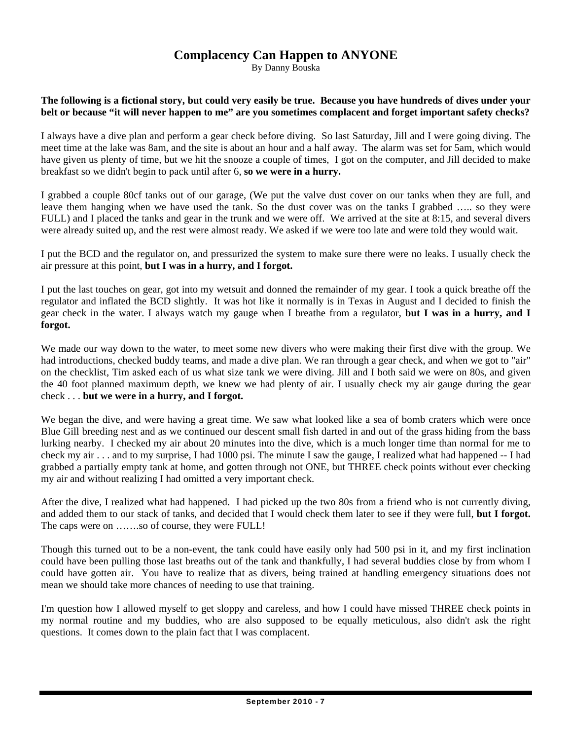# **Complacency Can Happen to ANYONE**

By Danny Bouska

**The following is a fictional story, but could very easily be true. Because you have hundreds of dives under your belt or because "it will never happen to me" are you sometimes complacent and forget important safety checks?**

I always have a dive plan and perform a gear check before diving. So last Saturday, Jill and I were going diving. The meet time at the lake was 8am, and the site is about an hour and a half away. The alarm was set for 5am, which would have given us plenty of time, but we hit the snooze a couple of times, I got on the computer, and Jill decided to make breakfast so we didn't begin to pack until after 6, **so we were in a hurry.** 

I grabbed a couple 80cf tanks out of our garage, (We put the valve dust cover on our tanks when they are full, and leave them hanging when we have used the tank. So the dust cover was on the tanks I grabbed ….. so they were FULL) and I placed the tanks and gear in the trunk and we were off. We arrived at the site at 8:15, and several divers were already suited up, and the rest were almost ready. We asked if we were too late and were told they would wait.

I put the BCD and the regulator on, and pressurized the system to make sure there were no leaks. I usually check the air pressure at this point, **but I was in a hurry, and I forgot.**

I put the last touches on gear, got into my wetsuit and donned the remainder of my gear. I took a quick breathe off the regulator and inflated the BCD slightly. It was hot like it normally is in Texas in August and I decided to finish the gear check in the water. I always watch my gauge when I breathe from a regulator, **but I was in a hurry, and I forgot.** 

We made our way down to the water, to meet some new divers who were making their first dive with the group. We had introductions, checked buddy teams, and made a dive plan. We ran through a gear check, and when we got to "air" on the checklist, Tim asked each of us what size tank we were diving. Jill and I both said we were on 80s, and given the 40 foot planned maximum depth, we knew we had plenty of air. I usually check my air gauge during the gear check . . . **but we were in a hurry, and I forgot.** 

We began the dive, and were having a great time. We saw what looked like a sea of bomb craters which were once Blue Gill breeding nest and as we continued our descent small fish darted in and out of the grass hiding from the bass lurking nearby. I checked my air about 20 minutes into the dive, which is a much longer time than normal for me to check my air . . . and to my surprise, I had 1000 psi. The minute I saw the gauge, I realized what had happened -- I had grabbed a partially empty tank at home, and gotten through not ONE, but THREE check points without ever checking my air and without realizing I had omitted a very important check.

After the dive, I realized what had happened. I had picked up the two 80s from a friend who is not currently diving, and added them to our stack of tanks, and decided that I would check them later to see if they were full, **but I forgot.** The caps were on …….so of course, they were FULL!

Though this turned out to be a non-event, the tank could have easily only had 500 psi in it, and my first inclination could have been pulling those last breaths out of the tank and thankfully, I had several buddies close by from whom I could have gotten air. You have to realize that as divers, being trained at handling emergency situations does not mean we should take more chances of needing to use that training.

I'm question how I allowed myself to get sloppy and careless, and how I could have missed THREE check points in my normal routine and my buddies, who are also supposed to be equally meticulous, also didn't ask the right questions. It comes down to the plain fact that I was complacent.